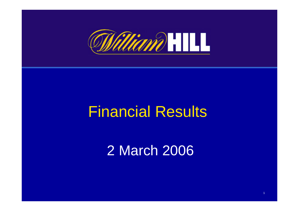

## Financial Results

### 2 March 2006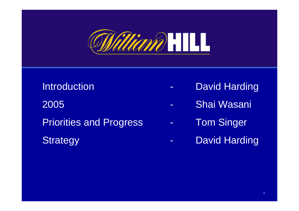

## **Introduction** 2005 - Shai Wasani Priorities and Progress **Fringer** - Tom Singer Strategy **- David Harding**

- David Harding
- 
- -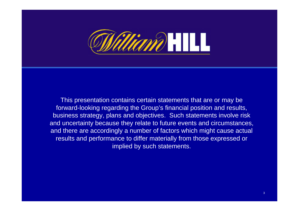

This presentation contains certain statements that are or may be forward-looking regarding the Group's financial position and results, business strategy, plans and objectives. Such statements involve risk and uncertainty because they relate to future events and circumstances, and there are accordingly a number of factors which might cause actual results and performance to differ materially from those expressed or implied by such statements.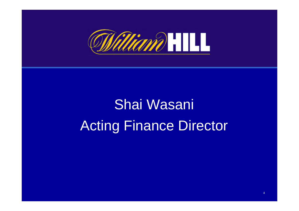

## Shai Wasani Acting Finance Director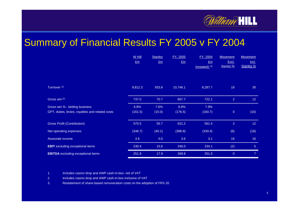

#### Summary of Financial Results FY 2005 v FY 2004

|                                                  | W Hill      | <b>Stanley</b> | <u>FY, 2005</u> | FY, 2004                  | <b>Movement</b> | <b>Movement</b> |
|--------------------------------------------------|-------------|----------------|-----------------|---------------------------|-----------------|-----------------|
|                                                  | $E_{\rm m}$ | $E_m$          | $E_{\rm m}$     | Em                        | Excl.           | <u>Incl.</u>    |
|                                                  |             |                |                 | $(rested)$ <sup>(3)</sup> | Stanley %       | Stanley %       |
|                                                  |             |                |                 |                           |                 |                 |
| Turnover <sup>(1)</sup>                          | 9,812.3     | 933.8          | 10,746.1        | 8,287.7                   | 18              | 30              |
| Gross win <sup>(2)</sup>                         | 737.0       | 70.7           | 807.7           | 722.1                     | $\overline{2}$  | 12 <sup>°</sup> |
| Gross win % - betting business                   | 6.8%        | 7.6%           | 6.8%            | 7.9%                      |                 |                 |
| GPT, duties, levies, royalties and related costs | (161.5)     | (15.0)         | (176.5)         | (160.7)                   | $\mathbf 0$     | (10)            |
|                                                  |             |                |                 |                           |                 |                 |
| <b>Gross Profit (Contribution)</b>               | 575.5       | 55.7           | 631.2           | 561.4                     | 3               | 12 <sup>°</sup> |
| Net operating expenses                           | (348.7)     | (40.1)         | (388.8)         | (330.4)                   | (6)             | (18)            |
| Associate income                                 | 3.6         | 0.0            | 3.6             | 3.1                       | 16              | 16              |
| <b>EBIT</b> excluding exceptional items          | 230.4       | 15.6           | 246.0           | 234.1                     | (2)             | 5 <sup>5</sup>  |
| <b>EBITDA</b> excluding exceptional items        | 251.9       | 17.9           | 269.8           | 251.5                     | $\overline{0}$  | $\overline{7}$  |

1.Includes casino drop and AWP cash-in-box- net of VAT

2.Includes casino drop and AWP cash-in-box inclusive of VAT

3.Restatement of share-based remuneration costs on the adoption of F RS 20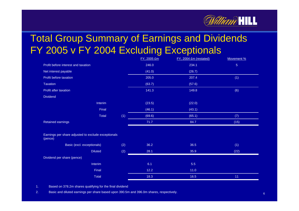

#### Total Group Summary of Earnings and Dividends FY 2005 v FY 2004 Excluding Exceptionals

|                                                                |                |     | FY, 2005 £m | FY, 2004 £m (restated) | Movement %     |
|----------------------------------------------------------------|----------------|-----|-------------|------------------------|----------------|
| Profit before interest and taxation                            |                |     | 246.0       | 234.1                  | 5 <sub>5</sub> |
| Net interest payable                                           |                |     | (41.0)      | (26.7)                 |                |
| Profit before taxation                                         |                |     | 205.0       | 207.4                  | (1)            |
| <b>Taxation</b>                                                |                |     | (63.7)      | (57.6)                 |                |
| Profit after taxation                                          |                |     | 141.3       | 149.8                  | (6)            |
| <b>Dividend</b>                                                |                |     |             |                        |                |
|                                                                | Interim        |     | (23.5)      | (22.0)                 |                |
|                                                                | Final          |     | (46.1)      | (43.1)                 |                |
|                                                                | Total          | (1) | (69.6)      | (65.1)                 | (7)            |
| Retained earnings                                              |                |     | 71.7        | 84.7                   | (15)           |
|                                                                |                |     |             |                        |                |
| Earnings per share adjusted to exclude exceptionals<br>(pence) |                |     |             |                        |                |
| Basic (excl. exceptionals)                                     |                | (2) | 36.2        | 36.5                   | (1)            |
|                                                                | <b>Diluted</b> | (2) | 28.1        | 35.9                   | (22)           |
| Dividend per share (pence)                                     |                |     |             |                        |                |
|                                                                | Interim        |     | 6.1         | 5.5                    |                |
|                                                                | Final          |     | $12.2$      | $11.0$                 |                |
|                                                                | Total          |     | 18.3        | 16.5                   | 11             |

1.Based on 378.2m shares qualifying for the final dividend

2.Basic and diluted earnings per share based upon 390.5m and 396.0m shares, respectively. **6**6 and 500 m shares and 500 m shares are shared to be a state of  $\epsilon$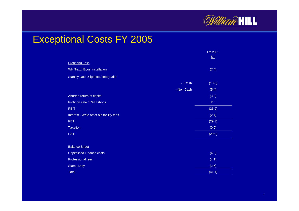

#### Exceptional Costs FY 2005

|                                            |            | FY 2005     |
|--------------------------------------------|------------|-------------|
|                                            |            | $E_{\rm m}$ |
| <b>Profit and Loss</b>                     |            |             |
| WH Text / Epos Installation                |            | (7.4)       |
| <b>Stanley Due Diligence / Integration</b> |            |             |
|                                            | - Cash     | (13.6)      |
|                                            | - Non Cash | (5.4)       |
| Aborted return of capital                  |            | (3.0)       |
| Profit on sale of WH shops                 |            | 2.5         |
| <b>PBIT</b>                                |            | (26.9)      |
| Interest - Write off of old facility fees  |            | (2.4)       |
| <b>PBT</b>                                 |            | (29.3)      |
| Taxation                                   |            | (0.6)       |
| <b>PAT</b>                                 |            | (29.9)      |
|                                            |            |             |
| <b>Balance Sheet</b>                       |            |             |
| <b>Capitalised Finance costs</b>           |            | (4.6)       |
| Professional fees                          |            | (4.1)       |
| <b>Stamp Duty</b>                          |            | (2.5)       |
| <b>Total</b>                               |            | (41.1)      |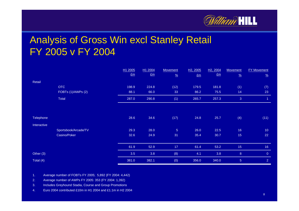

#### Analysis of Gross Win excl Stanley Retail FY 2005 v FY 2004

|             |                      | H1 2005 | H1 2004 | <b>Movement</b> | H <sub>2</sub> , 2005 | H <sub>2</sub> , 2004 | <b>Movement</b> | <b>FY Movement</b> |
|-------------|----------------------|---------|---------|-----------------|-----------------------|-----------------------|-----------------|--------------------|
|             |                      | $E_{m}$ | $E_{m}$ | $\frac{9}{6}$   | $E_{m}$               | E <sub>m</sub>        | $\frac{9}{6}$   | $\frac{9}{6}$      |
| Retail      |                      |         |         |                 |                       |                       |                 |                    |
|             | <b>OTC</b>           | 198.9   | 224.8   | (12)            | 179.5                 | 181.8                 | (1)             | (7)                |
|             | FOBTs (1)/AWPs (2)   | 88.1    | 66.0    | 33              | 86.2                  | 75.5                  | 14              | 23                 |
|             | Total                | 287.0   | 290.8   | (1)             | 265.7                 | 257.3                 | 3               | 1.                 |
|             |                      |         |         |                 |                       |                       |                 |                    |
| Telephone   |                      | 28.6    | 34.6    | (17)            | 24.8                  | 25.7                  | (4)             | (11)               |
| Interactive |                      |         |         |                 |                       |                       |                 |                    |
|             | Sportsbook/Arcade/TV | 29.3    | 28.0    | $\overline{5}$  | 26.0                  | 22.5                  | 16              | 10                 |
|             | Casino/Poker         | 32.6    | 24.9    | 31              | 35.4                  | 30.7                  | 15              | 22                 |
|             |                      | 61.9    | 52.9    | 17              | 61.4                  | 53.2                  | 15 <sub>1</sub> | 16                 |
| Other $(3)$ |                      | 3.5     | 3.8     | (8)             | 4.1                   | 3.8                   | $\bf 8$         | $\overline{0}$     |
| Total (4)   |                      | 381.0   | 382.1   | (0)             | 356.0                 | 340.0                 | $\sqrt{5}$      | $\overline{2}$     |

1.Average number of F OBTs FY 2005; 5,892 (FY 2004: 4,442)

2.Average number of AWPs F Y 2005: 353 (F Y 2004: 1,392)

3.Includes Greyhound Stadia, Course and Group Promotions

4.Euro 2004 contributed £10m in H1 2004 and £1.1m in H2 2004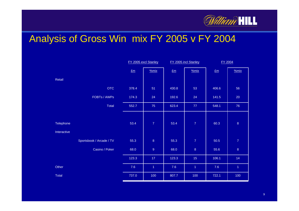

#### Analysis of Gross Win mix FY 2005 v FY 2004

|                          | FY 2005 excl Stanley |                 | FY 2005 incl Stanley |                      | FY 2004 |                      |
|--------------------------|----------------------|-----------------|----------------------|----------------------|---------|----------------------|
|                          | Em                   | %mix            | Em                   | %mix                 | Em      | %mix                 |
| Retail                   |                      |                 |                      |                      |         |                      |
| <b>OTC</b>               | 378.4                | 51              | 430.8                | 53                   | 406.6   | 56                   |
| FOBTs / AWPs             | 174.3                | 24              | 192.6                | 24                   | 141.5   | 20                   |
| Total                    | 552.7                | 75              | 623.4                | 77                   | 548.1   | 76                   |
|                          |                      |                 |                      |                      |         |                      |
| Telephone                | 53.4                 | $\overline{7}$  | 53.4                 | $\overline{7}$       | 60.3    | $\,8\,$              |
| Interactive              |                      |                 |                      |                      |         |                      |
| Sportsbook / Arcade / TV | 55.3                 | $\overline{8}$  | 55.3                 | $\overline{7}$       | 50.5    | $\boldsymbol{7}$     |
| Casino / Poker           | 68.0                 | $\overline{9}$  | 68.0                 | $\bf 8$              | 55.6    | $\overline{8}$       |
|                          | 123.3                | 17 <sup>°</sup> | 123.3                | 15 <sub>1</sub>      | 106.1   | 14                   |
| Other                    | 7.6                  | $\overline{1}$  | 7.6                  | $\blacktriangleleft$ | 7.6     | $\blacktriangleleft$ |
| Total                    | 737.0<br>г           | 100             | 807.7                | 100                  | 722.1   | 100                  |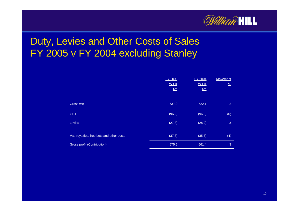

#### Duty, Levies and Other Costs of Sales FY 2005 v FY 2004 excluding Stanley

|                                           | <b>FY 2005</b> | <b>FY 2004</b> | <b>Movement</b> |
|-------------------------------------------|----------------|----------------|-----------------|
|                                           | W Hill         | W Hill         | $\frac{9}{6}$   |
|                                           | $E_m$          | Em             |                 |
|                                           |                |                |                 |
| Gross win                                 | 737.0          | 722.1          | 2               |
|                                           |                |                |                 |
| <b>GPT</b>                                | (96.9)         | (96.8)         | (0)             |
| <b>Levies</b>                             | (27.3)         | (28.2)         | 3               |
|                                           |                |                |                 |
| Vat, royalties, free bets and other costs | (37.3)         | (35.7)         | (4)             |
|                                           |                |                |                 |
| <b>Gross profit (Contribution)</b>        | 575.5          | 561.4          | 3               |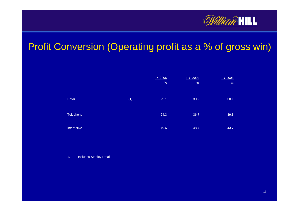

#### Profit Conversion (Operating profit as a % of gross win)

|             |     | FY 2005<br>$\frac{9}{6}$ | FY 2004<br>$\frac{9}{6}$ | FY 2003<br>$\frac{9}{6}$ |
|-------------|-----|--------------------------|--------------------------|--------------------------|
| Retail      | (1) | 29.1                     | 30.2                     | 30.1                     |
| Telephone   |     | 24.3                     | 36.7                     | 39.3                     |
| Interactive |     | 49.6                     | 48.7                     | 43.7                     |

1.. Includes Stanley Retail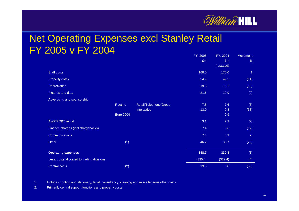

#### **Net Operating Expenses excl Stanley Retail** FY 2005 v FY 2004

|                                            |           |                        | <u>FY, 2005</u><br>$E_{\rm m}$ | <u>FY, 2004</u><br>$E_m$<br>(restated) | <b>Movement</b><br>$\frac{9}{6}$ |
|--------------------------------------------|-----------|------------------------|--------------------------------|----------------------------------------|----------------------------------|
| Staff costs                                |           |                        | 168.0                          | 170.0                                  | $\overline{1}$                   |
| Property costs                             |           |                        | 54.9                           | 49.5                                   | (11)                             |
| Depreciation                               |           |                        | 19.3                           | 16.2                                   | (19)                             |
| Pictures and data                          |           |                        | 21.6                           | 19.9                                   | (9)                              |
| Advertising and sponsorship                |           |                        |                                |                                        |                                  |
|                                            | Routine   | Retail/Telephone/Group | 7.8                            | 7.6                                    | (3)                              |
|                                            |           | Interactive            | 13.0                           | 9.8                                    | (33)                             |
|                                            | Euro 2004 |                        | ÷                              | 0.9                                    |                                  |
| <b>AWP/FOBT rental</b>                     |           |                        | 3.1                            | 7.3                                    | 58                               |
| Finance charges (incl chargebacks)         |           |                        | 7.4                            | 6.6                                    | (12)                             |
| <b>Communications</b>                      |           |                        | 7.4                            | 6.9                                    | (7)                              |
| Other                                      | (1)       |                        | 46.2                           | 35.7                                   | (29)                             |
| <b>Operating expenses</b>                  |           |                        | 348.7                          | 330.4                                  | (6)                              |
| Less: costs allocated to trading divisions |           |                        | (335.4)                        | (322.4)                                | (4)                              |
| <b>Central costs</b>                       | (2)       |                        | 13.3                           | 8.0                                    | (66)                             |

1.Includes printing and stationery, legal, consultancy, cleaning and miscellaneous other costs

2.Primarily central support functions and property costs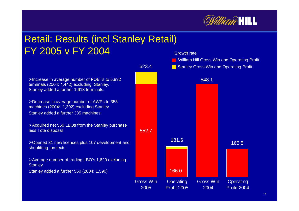

#### Retail: Results (incl Stanley Retail) FY 2005 v FY 2004

¾Increase in average number of FOBTs to 5,892 terminals (2004: 4,442) excluding Stanley. Stanley added a further 1,613 terminals.

¾Decrease in average number of AWPs to 353 machines (2004: 1,392) excluding Stanley Stanley added a further 335 machines.

¾Acquired net 560 LBOs from the Stanley purchase less Tote disposal

¾Opened 31 new licences plus 107 development and shopfitting projects

¾Average number of trading LBO's 1,620 excluding **Stanley** Stanley added a further 560 (2004: 1,590)

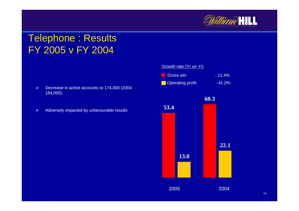

#### Telephone : Results FY 2005 v FY 2004

- $\triangleright$ ▶ Decrease in active accounts to 174,000 (2004: 184,000)
- $\blacktriangleright$ Adversely i mpacted by unfavourable results **53.**

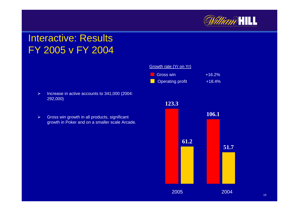

#### Interactive: ResultsFY 2005 v FY 2004

- $\triangleright$  $\triangleright$  Increase in active accounts to 341,000 (2004: 292,000)
- $\blacktriangleright$  $\triangleright$  Gross win growth in all products, significant growth i n Poker and on a small er scale Arcade.



15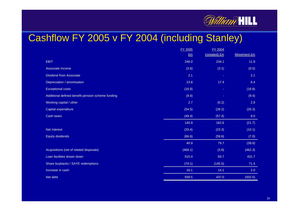

#### Cashflow FY 2005 v FY 2004 (including Stanley)

|                                                   | <b>FY 2005</b> | FY 2004       |             |
|---------------------------------------------------|----------------|---------------|-------------|
|                                                   | E <sub>m</sub> | (restated) £m | Movement £m |
| <b>EBIT</b>                                       | 246.0          | 234.1         | 11.9        |
| Associate Income                                  | (3.6)          | (3.1)         | (0.5)       |
| <b>Dividend from Associate</b>                    | 2.1            | ٠             | 2.1         |
| Depreciation / amortisation                       | 23.8           | 17.4          | 6.4         |
| <b>Exceptional costs</b>                          | (16.8)         | ٠             | (16.8)      |
| Additional defined benefit pension scheme funding | (9.4)          | ٠             | (9.4)       |
| Working capital / other                           | 2.7            | (0.2)         | 2.9         |
| Capital expenditure                               | (54.5)         | (28.2)        | (26.3)      |
| Cash taxes                                        | (49.4)         | (57.4)        | 8.0         |
|                                                   | 140.9          | 162.6         | (21.7)      |
| <b>Net Interest</b>                               | (33.4)         | (23.3)        | (10.1)      |
| <b>Equity dividends</b>                           | (66.6)         | (59.6)        | (7.0)       |
|                                                   | 40.9           | 79.7          | (38.8)      |
| Acquisitions (net of related disposals)           | (466.1)        | (3.8)         | (462.3)     |
| Loan facilities drawn down                        | 515.4          | 83.7          | 431.7       |
| Share buybacks / SAYE redemptions                 | (74.1)         | (145.5)       | 71.4        |
| Increase in cash                                  | 16.1           | 14.1          | 2.0         |
| Net debt                                          | 939.5          | 437.0         | (502.5)     |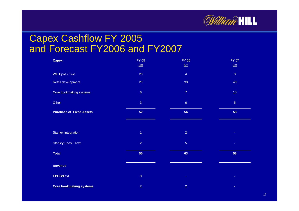

#### Capex Cashflow FY 2005 and Forecast FY2006 and FY2007

| <b>Capex</b>                    | <b>FY 05</b><br>$E_{\rm m}$ | <b>FY 06</b><br>Em      | <b>FY 07</b><br>$E_{\rm m}$ |
|---------------------------------|-----------------------------|-------------------------|-----------------------------|
| WH Epos / Text                  | 20                          | $\overline{4}$          | $\mathbf{3}$                |
| Retail development              | 23                          | 39                      | 40                          |
| Core bookmaking systems         | $\sqrt{6}$                  | $\boldsymbol{7}$        | 10 <sub>1</sub>             |
| Other                           | $\overline{3}$              | $\sqrt{6}$              | $\sqrt{5}$                  |
| <b>Purchase of Fixed Assets</b> | 52                          | 56                      | 58                          |
|                                 |                             |                         |                             |
| Stanley integration             | $\overline{1}$              | $\overline{\mathbf{2}}$ |                             |
| <b>Stanley Epos / Text</b>      | $\overline{2}$              | $\sqrt{5}$              |                             |
|                                 |                             |                         |                             |
| <b>Total</b>                    | 55                          | 63                      | 58                          |
| <b>Revenue</b>                  |                             |                         |                             |
| <b>EPOS/Text</b>                | $\,8\,$                     |                         |                             |
| <b>Core bookmaking systems</b>  | $\overline{2}$              | $\overline{2}$          | ×                           |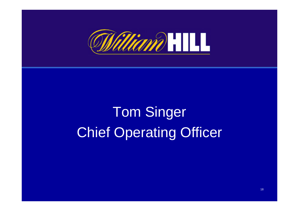

## Tom Singer Chief Operating Officer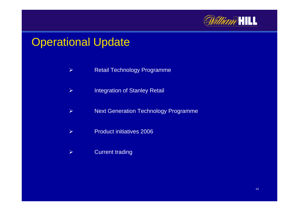

#### Operational Update

- $\blacktriangleright$ Retail Technology Programme
- $\blacktriangleright$ Integration of Stanley Retail
- $\blacktriangleright$ Next Generation Technology Programme
- $\blacktriangleright$ Product initiatives 2006
- $\blacktriangleright$ Current trading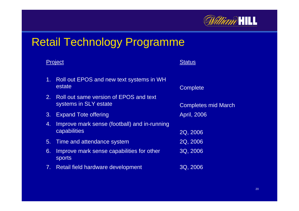

#### Retail Technology Programme

|    | Project                                                         | <b>Status</b>              |
|----|-----------------------------------------------------------------|----------------------------|
| 1. | Roll out EPOS and new text systems in WH<br>estate              | Complete                   |
| 2. | Roll out same version of EPOS and text<br>systems in SLY estate | <b>Completes mid March</b> |
| 3. | <b>Expand Tote offering</b>                                     | April, 2006                |
| 4. | Improve mark sense (football) and in-running<br>capabilities    | 2Q, 2006                   |
| 5. | Time and attendance system                                      | 2Q, 2006                   |
| 6. | Improve mark sense capabilities for other<br>sports             | 3Q, 2006                   |
| 7. | Retail field hardware development                               | 3Q, 2006                   |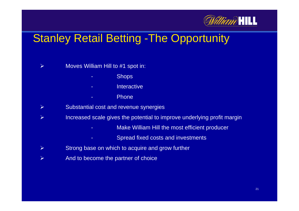

#### Stanley Retail Betting -The Opportunity

Moves William Hill to #1 spot in:

-

-

-

 $\blacktriangleright$ 

- **Shops**
- -**Interactive** 
	- Phone
- $\blacktriangleright$ Substantial cost and revenue synergies
- $\blacktriangleright$  Increased scale gives the potential to improve underlying profit margin
	- **Make William Hill the most efficient producer**
	- Spread fixed costs and investments
- $\blacktriangleright$ Strong base on which to acquire and grow further
- $\blacktriangleright$ And to become the partner of choice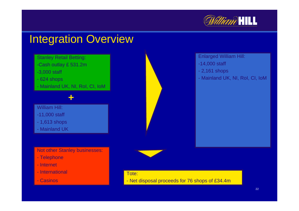

#### Integration Overview



Not other Stanley businesses:

- Telephone
- Internet
- International
- Casinos

Enlarged William Hill:

- -14,000 staff
- 2,161 shops
- Mainland U K, NI, RoI, CI, IoM



Tote:

- Net disposal proceeds for 76 shops of £34.4m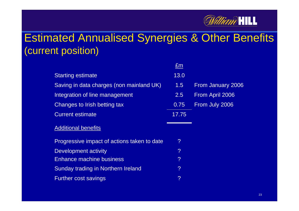

#### Estimated Annualised Synergies & Other Benefits (current position)

|                                             | £m               |                   |
|---------------------------------------------|------------------|-------------------|
| <b>Starting estimate</b>                    | 13.0             |                   |
| Saving in data charges (non mainland UK)    | 1.5 <sub>1</sub> | From January 2006 |
| Integration of line management              | $2.5^{\circ}$    | From April 2006   |
| Changes to Irish betting tax                | 0.75             | From July 2006    |
| <b>Current estimate</b>                     | 17.75            |                   |
| <b>Additional benefits</b>                  |                  |                   |
| Progressive impact of actions taken to date | ?                |                   |
| <b>Development activity</b>                 | ?                |                   |
| <b>Enhance machine business</b>             | ?                |                   |
| Sunday trading in Northern Ireland          | ?                |                   |
| <b>Further cost savings</b>                 | ?                |                   |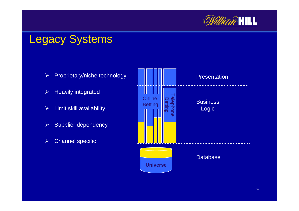

#### Legacy Systems

- $\blacktriangleright$ Proprietary/niche technology
- $\blacktriangleright$ > Heavily integrated
- $\blacktriangleright$ Limit skill availability
- $\blacktriangleright$ Supplier dependency
- $\blacktriangleright$ Channel specific

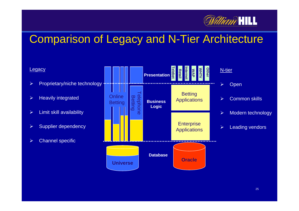

#### Comparison of Legacy and N-Tier Architecture

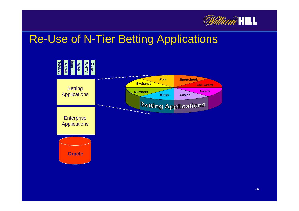

#### Re-Use of N-Tier Betting Applications

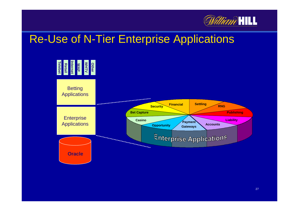

#### Re-Use of N-Tier Enterprise Applications

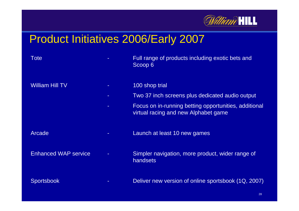

#### Product Initiatives 2006/Early 2007

| Tote                        |    | Full range of products including exotic bets and<br>Scoop 6                                   |
|-----------------------------|----|-----------------------------------------------------------------------------------------------|
| <b>William Hill TV</b>      | н. | 100 shop trial                                                                                |
|                             |    | Two 37 inch screens plus dedicated audio output                                               |
|                             |    | Focus on in-running betting opportunities, additional<br>virtual racing and new Alphabet game |
| Arcade                      | ۰. | Launch at least 10 new games                                                                  |
| <b>Enhanced WAP service</b> |    | Simpler navigation, more product, wider range of<br>handsets                                  |
| <b>Sportsbook</b>           |    | Deliver new version of online sportsbook (1Q, 2007)                                           |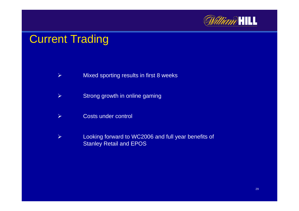

#### **Current Trading**

- $\blacktriangleright$ Mixed sporting results in first 8 weeks
- $\blacktriangleright$ Strong growth in online gaming
- $\blacktriangleright$ Costs under control
- $\blacktriangleright$  Looking forward to WC2006 and full year benefits of Stanley Retail and EPOS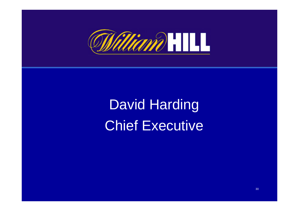

David Harding Chief Executive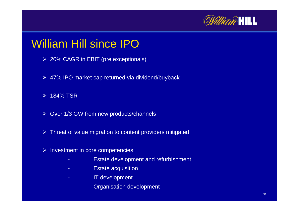

#### William Hill since IPO

- ¾ 20% CAGR in EBIT (pr e exceptionals)
- ¾ 47% IPO market cap r eturned via dividend/buyback
- ¾ 184% TSR
- ¾ Over 1/3 GW from new products/channels
- $\triangleright$  Threat of value migration to content providers mitigated
- $\triangleright$  Investment in core competencies
	- -Estate development and refurbishment
	- -Estate acquisitio n
	- -IT development
	- -Organisation development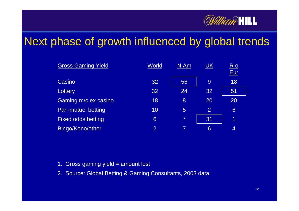

#### Next phase of growth influenced by global trends

| <b>Gross Gaming Yield</b>  | World          | N Am           | <u>UK</u>      | $R$ o<br>Eur |
|----------------------------|----------------|----------------|----------------|--------------|
| Casino                     | 32             | 56             | 9              | 18           |
| Lottery                    | 32             | 24             | 32             | 51           |
| Gaming m/c ex casino       | 18             | 8              | 20             | 20           |
| <b>Pari-mutuel betting</b> | 10             | $\overline{5}$ | $\overline{2}$ | 6            |
| <b>Fixed odds betting</b>  | 6              | $\star$        | 31             | 1            |
| Bingo/Keno/other           | $\overline{2}$ |                | 6              | 4            |

- 1.. Gross gaming yield = amount lost
- 2. Source: Global Betting & Gaming Consultants, 2003 data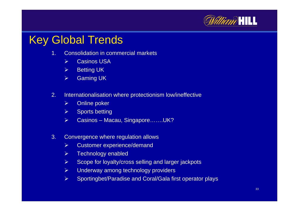

#### Key Global Trends

- 1. Consolidation in commercial markets
	- $\blacktriangleright$ Casinos USA
	- $\triangleright$ Betting UK
	- $\blacktriangleright$ Gaming UK
- 2. Internationalisation where protectionism low/ineffective
	- $\blacktriangleright$ Online poker
	- $\blacktriangleright$ Sports betting
	- $\blacktriangleright$ Casinos – Macau, Singapore…….UK?
- 3. Convergence where regulation allows
	- $\blacktriangleright$ Customer experience/demand
	- $\triangleright$ Technology enabled
	- $\blacktriangleright$ Scope for loyalty/cross selling and larger jackpots
	- $\blacktriangleright$ Underway among technology providers
	- $\blacktriangleright$ ▶ Sportingbet/Paradise and Coral/Gala first operator plays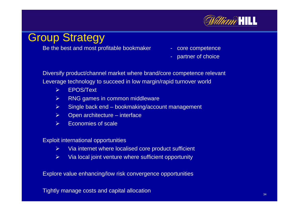

#### Group Strategy

Be the best and most profitable bookmaker - core competence

- 
- partner of choice

Diversify product/channel market where brand/core competence relevant Leverage technology to succeed in low margin/rapid turnover world

- $\blacktriangleright$ EPOS/Text
- $\triangleright$ RNG games in common middleware
- $\blacktriangleright$ Single back end – bookmaking/account management
- $\triangleright$ Open architecture – interface
- $\blacktriangleright$ Economies of scale

Exploit international opportunities

- $\blacktriangleright$ Via internet where localised core product sufficient
- $\blacktriangleright$ Via local joint venture where sufficient opportunity

Explore value enhancing/low risk convergence opportunities

Tightly manage costs and capital allocation  $34$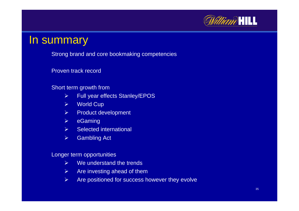

#### In summary

**Strong brand and core bookmaking competencies** 

Proven track record

#### Short term growth from

- $\triangleright$ Full year effects Stanley/EPOS
- $\blacktriangleright$ World Cup
- $\blacktriangleright$ Product development
- $\blacktriangleright$ eGaming
- $\blacktriangleright$ Selected international
- $\blacktriangleright$ Gambling Act

Longer term opportunities

- $\triangleright$ We understand the trends
- $\blacktriangleright$ Are investing ahead of them
- $\blacktriangleright$ Are positioned for success however they evolve